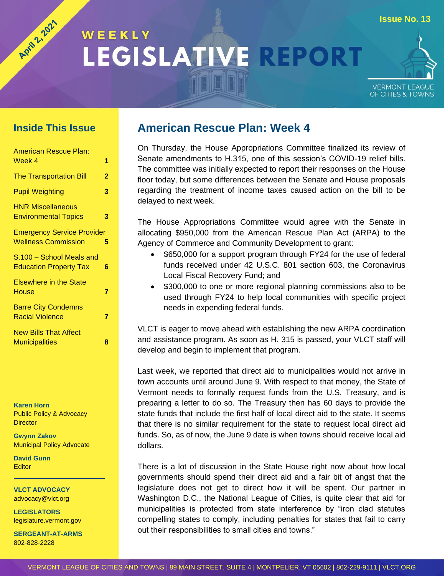# **Issue No. 13** WEEKLY LEGISLATIVE REPORT



#### **Inside This Issue**

Agita, 2021

| <b>American Rescue Plan:</b>                                    |   |
|-----------------------------------------------------------------|---|
| Week 4                                                          | 1 |
| <b>The Transportation Bill</b>                                  | 2 |
| <b>Pupil Weighting</b>                                          | 3 |
| <b>HNR Miscellaneous</b><br><b>Environmental Topics</b>         | 3 |
| <b>Emergency Service Provider</b><br><b>Wellness Commission</b> | 5 |
| S.100 - School Meals and<br><b>Education Property Tax</b>       | 6 |
| <b>Elsewhere in the State</b><br>House                          | 7 |
| <b>Barre City Condemns</b><br><b>Racial Violence</b>            | 7 |
| <b>New Bills That Affect</b><br><b>Municipalities</b>           | 8 |

**Karen Horn** Public Policy & Advocacy **Director** 

**Gwynn Zakov** Municipal Policy Advocate

**David Gunn Editor** 

**VLCT ADVOCACY** advocacy@vlct.org

**LEGISLATORS** legislature.vermont.gov

**SERGEANT-AT-ARMS** 802-828-2228

#### **American Rescue Plan: Week 4**

<span id="page-0-0"></span>On Thursday, the House Appropriations Committee finalized its review of Senate amendments to H.315, one of this session's COVID-19 relief bills. The committee was initially expected to report their responses on the House floor today, but some differences between the Senate and House proposals regarding the treatment of income taxes caused action on the bill to be delayed to next week.

The House Appropriations Committee would agree with the Senate in allocating \$950,000 from the American Rescue Plan Act (ARPA) to the Agency of Commerce and Community Development to grant:

- \$650,000 for a support program through FY24 for the use of federal funds received under 42 U.S.C. 801 section 603, the Coronavirus Local Fiscal Recovery Fund; and
- \$300,000 to one or more regional planning commissions also to be used through FY24 to help local communities with specific project needs in expending federal funds.

VLCT is eager to move ahead with establishing the new ARPA coordination and assistance program. As soon as H. 315 is passed, your VLCT staff will develop and begin to implement that program.

Last week, we reported that direct aid to municipalities would not arrive in town accounts until around June 9. With respect to that money, the State of Vermont needs to formally request funds from the U.S. Treasury, and is preparing a letter to do so. The Treasury then has 60 days to provide the state funds that include the first half of local direct aid to the state. It seems that there is no similar requirement for the state to request local direct aid funds. So, as of now, the June 9 date is when towns should receive local aid dollars.

There is a lot of discussion in the State House right now about how local governments should spend their direct aid and a fair bit of angst that the legislature does not get to direct how it will be spent. Our partner in Washington D.C., the National League of Cities, is quite clear that aid for municipalities is protected from state interference by "iron clad statutes compelling states to comply, including penalties for states that fail to carry out their responsibilities to small cities and towns."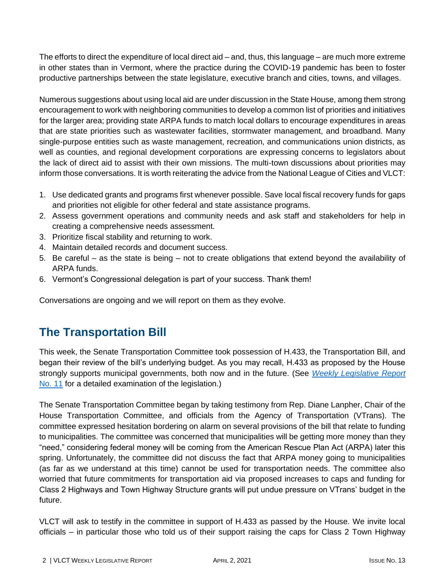The efforts to direct the expenditure of local direct aid – and, thus, this language – are much more extreme in other states than in Vermont, where the practice during the COVID-19 pandemic has been to foster productive partnerships between the state legislature, executive branch and cities, towns, and villages.

Numerous suggestions about using local aid are under discussion in the State House, among them strong encouragement to work with neighboring communities to develop a common list of priorities and initiatives for the larger area; providing state ARPA funds to match local dollars to encourage expenditures in areas that are state priorities such as wastewater facilities, stormwater management, and broadband. Many single-purpose entities such as waste management, recreation, and communications union districts, as well as counties, and regional development corporations are expressing concerns to legislators about the lack of direct aid to assist with their own missions. The multi-town discussions about priorities may inform those conversations. It is worth reiterating the advice from the National League of Cities and VLCT:

- 1. Use dedicated grants and programs first whenever possible. Save local fiscal recovery funds for gaps and priorities not eligible for other federal and state assistance programs.
- 2. Assess government operations and community needs and ask staff and stakeholders for help in creating a comprehensive needs assessment.
- 3. Prioritize fiscal stability and returning to work.
- 4. Maintain detailed records and document success.
- 5. Be careful as the state is being not to create obligations that extend beyond the availability of ARPA funds.
- 6. Vermont's Congressional delegation is part of your success. Thank them!

<span id="page-1-0"></span>Conversations are ongoing and we will report on them as they evolve.

# **The Transportation Bill**

This week, the Senate Transportation Committee took possession of H.433, the Transportation Bill, and began their review of the bill's underlying budget. As you may recall, H.433 as proposed by the House strongly supports municipal governments, both now and in the future. (See *[Weekly Legislative Report](https://www.vlct.org/sites/default/files/2021_vlct_weekly_legislative_report_11.pdf)* [No. 11](https://www.vlct.org/sites/default/files/2021_vlct_weekly_legislative_report_11.pdf) for a detailed examination of the legislation.)

The Senate Transportation Committee began by taking testimony from Rep. Diane Lanpher, Chair of the House Transportation Committee, and officials from the Agency of Transportation (VTrans). The committee expressed hesitation bordering on alarm on several provisions of the bill that relate to funding to municipalities. The committee was concerned that municipalities will be getting more money than they "need," considering federal money will be coming from the American Rescue Plan Act (ARPA) later this spring. Unfortunately, the committee did not discuss the fact that ARPA money going to municipalities (as far as we understand at this time) cannot be used for transportation needs. The committee also worried that future commitments for transportation aid via proposed increases to caps and funding for Class 2 Highways and Town Highway Structure grants will put undue pressure on VTrans' budget in the future.

VLCT will ask to testify in the committee in support of H.433 as passed by the House. We invite local officials – in particular those who told us of their support raising the caps for Class 2 Town Highway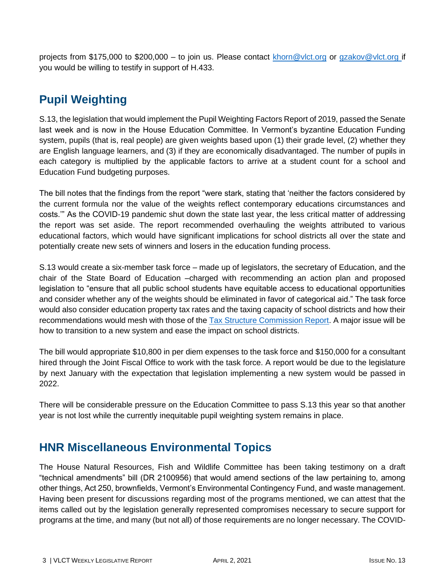projects from \$175,000 to \$200,000 – to join us. Please contact [khorn@vlct.org](mailto:khorn@vlct.org) or gzakov@vlct.org if you would be willing to testify in support of H.433.

# <span id="page-2-0"></span>**Pupil Weighting**

S.13, the legislation that would implement the Pupil Weighting Factors Report of 2019, passed the Senate last week and is now in the House Education Committee. In Vermont's byzantine Education Funding system, pupils (that is, real people) are given weights based upon (1) their grade level, (2) whether they are English language learners, and (3) if they are economically disadvantaged. The number of pupils in each category is multiplied by the applicable factors to arrive at a student count for a school and Education Fund budgeting purposes.

The bill notes that the findings from the report "were stark, stating that 'neither the factors considered by the current formula nor the value of the weights reflect contemporary educations circumstances and costs.'" As the COVID-19 pandemic shut down the state last year, the less critical matter of addressing the report was set aside. The report recommended overhauling the weights attributed to various educational factors, which would have significant implications for school districts all over the state and potentially create new sets of winners and losers in the education funding process.

S.13 would create a six-member task force – made up of legislators, the secretary of Education, and the chair of the State Board of Education –charged with recommending an action plan and proposed legislation to "ensure that all public school students have equitable access to educational opportunities and consider whether any of the weights should be eliminated in favor of categorical aid." The task force would also consider education property tax rates and the taxing capacity of school districts and how their recommendations would mesh with those of the [Tax Structure Commission Report.](https://ljfo.vermont.gov/assets/Subjects/Final-Report/10306868b9/TSC-Final-Report-2-8-2021.pdf) A major issue will be how to transition to a new system and ease the impact on school districts.

The bill would appropriate \$10,800 in per diem expenses to the task force and \$150,000 for a consultant hired through the Joint Fiscal Office to work with the task force. A report would be due to the legislature by next January with the expectation that legislation implementing a new system would be passed in 2022.

There will be considerable pressure on the Education Committee to pass S.13 this year so that another year is not lost while the currently inequitable pupil weighting system remains in place.

## <span id="page-2-1"></span>**HNR Miscellaneous Environmental Topics**

The House Natural Resources, Fish and Wildlife Committee has been taking testimony on a draft "technical amendments" bill (DR 2100956) that would amend sections of the law pertaining to, among other things, Act 250, brownfields, Vermont's Environmental Contingency Fund, and waste management. Having been present for discussions regarding most of the programs mentioned, we can attest that the items called out by the legislation generally represented compromises necessary to secure support for programs at the time, and many (but not all) of those requirements are no longer necessary. The COVID-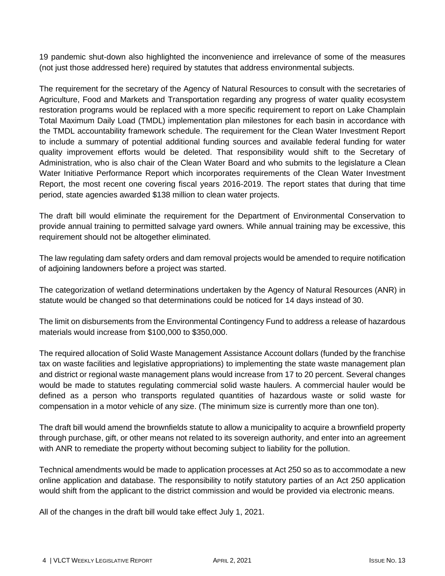19 pandemic shut-down also highlighted the inconvenience and irrelevance of some of the measures (not just those addressed here) required by statutes that address environmental subjects.

The requirement for the secretary of the Agency of Natural Resources to consult with the secretaries of Agriculture, Food and Markets and Transportation regarding any progress of water quality ecosystem restoration programs would be replaced with a more specific requirement to report on Lake Champlain Total Maximum Daily Load (TMDL) implementation plan milestones for each basin in accordance with the TMDL accountability framework schedule. The requirement for the Clean Water Investment Report to include a summary of potential additional funding sources and available federal funding for water quality improvement efforts would be deleted. That responsibility would shift to the Secretary of Administration, who is also chair of the Clean Water Board and who submits to the legislature a Clean Water Initiative Performance Report which incorporates requirements of the Clean Water Investment Report, the most recent one covering fiscal years 2016-2019. The report states that during that time period, state agencies awarded \$138 million to clean water projects.

The draft bill would eliminate the requirement for the Department of Environmental Conservation to provide annual training to permitted salvage yard owners. While annual training may be excessive, this requirement should not be altogether eliminated.

The law regulating dam safety orders and dam removal projects would be amended to require notification of adjoining landowners before a project was started.

The categorization of wetland determinations undertaken by the Agency of Natural Resources (ANR) in statute would be changed so that determinations could be noticed for 14 days instead of 30.

The limit on disbursements from the Environmental Contingency Fund to address a release of hazardous materials would increase from \$100,000 to \$350,000.

The required allocation of Solid Waste Management Assistance Account dollars (funded by the franchise tax on waste facilities and legislative appropriations) to implementing the state waste management plan and district or regional waste management plans would increase from 17 to 20 percent. Several changes would be made to statutes regulating commercial solid waste haulers. A commercial hauler would be defined as a person who transports regulated quantities of hazardous waste or solid waste for compensation in a motor vehicle of any size. (The minimum size is currently more than one ton).

The draft bill would amend the brownfields statute to allow a municipality to acquire a brownfield property through purchase, gift, or other means not related to its sovereign authority, and enter into an agreement with ANR to remediate the property without becoming subject to liability for the pollution.

Technical amendments would be made to application processes at Act 250 so as to accommodate a new online application and database. The responsibility to notify statutory parties of an Act 250 application would shift from the applicant to the district commission and would be provided via electronic means.

All of the changes in the draft bill would take effect July 1, 2021.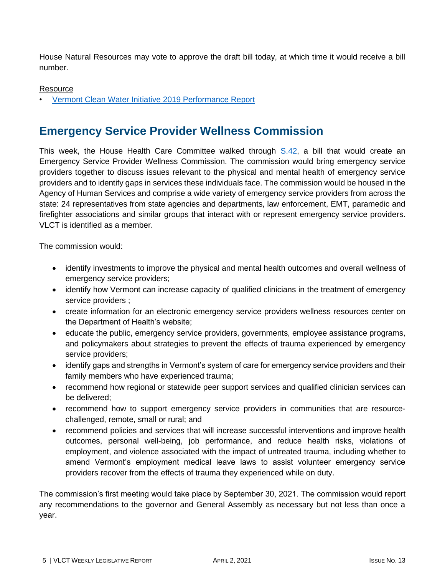House Natural Resources may vote to approve the draft bill today, at which time it would receive a bill number.

#### **Resource**

<span id="page-4-0"></span>• [Vermont Clean Water Initiative 2019 Performance Report](https://dec.vermont.gov/sites/dec/files/2020-01-14_CleanWaterPerformanceReport_SFY2019-FINAL.pdf)

#### **Emergency Service Provider Wellness Commission**

This week, the House Health Care Committee walked through [S.42,](https://legislature.vermont.gov/Documents/2022/Docs/BILLS/S-0042/S-0042%20As%20passed%20by%20the%20Senate%20Official.pdf) a bill that would create an Emergency Service Provider Wellness Commission. The commission would bring emergency service providers together to discuss issues relevant to the physical and mental health of emergency service providers and to identify gaps in services these individuals face. The commission would be housed in the Agency of Human Services and comprise a wide variety of emergency service providers from across the state: 24 representatives from state agencies and departments, law enforcement, EMT, paramedic and firefighter associations and similar groups that interact with or represent emergency service providers. VLCT is identified as a member.

The commission would:

- identify investments to improve the physical and mental health outcomes and overall wellness of emergency service providers;
- identify how Vermont can increase capacity of qualified clinicians in the treatment of emergency service providers ;
- create information for an electronic emergency service providers wellness resources center on the Department of Health's website;
- educate the public, emergency service providers, governments, employee assistance programs, and policymakers about strategies to prevent the effects of trauma experienced by emergency service providers;
- identify gaps and strengths in Vermont's system of care for emergency service providers and their family members who have experienced trauma;
- recommend how regional or statewide peer support services and qualified clinician services can be delivered;
- recommend how to support emergency service providers in communities that are resourcechallenged, remote, small or rural; and
- recommend policies and services that will increase successful interventions and improve health outcomes, personal well-being, job performance, and reduce health risks, violations of employment, and violence associated with the impact of untreated trauma, including whether to amend Vermont's employment medical leave laws to assist volunteer emergency service providers recover from the effects of trauma they experienced while on duty.

The commission's first meeting would take place by September 30, 2021. The commission would report any recommendations to the governor and General Assembly as necessary but not less than once a year.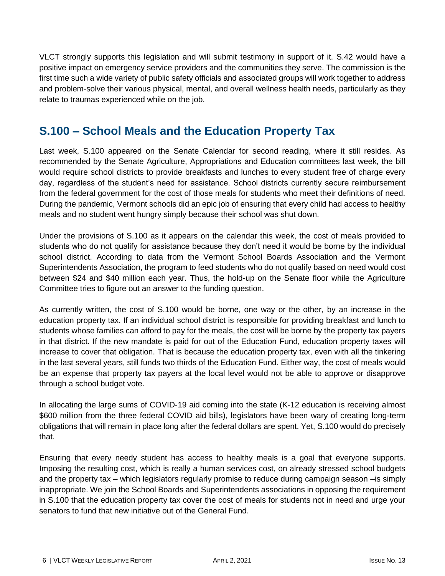VLCT strongly supports this legislation and will submit testimony in support of it. S.42 would have a positive impact on emergency service providers and the communities they serve. The commission is the first time such a wide variety of public safety officials and associated groups will work together to address and problem-solve their various physical, mental, and overall wellness health needs, particularly as they relate to traumas experienced while on the job.

## <span id="page-5-0"></span>**S.100 – School Meals and the Education Property Tax**

Last week, S.100 appeared on the Senate Calendar for second reading, where it still resides. As recommended by the Senate Agriculture, Appropriations and Education committees last week, the bill would require school districts to provide breakfasts and lunches to every student free of charge every day, regardless of the student's need for assistance. School districts currently secure reimbursement from the federal government for the cost of those meals for students who meet their definitions of need. During the pandemic, Vermont schools did an epic job of ensuring that every child had access to healthy meals and no student went hungry simply because their school was shut down.

Under the provisions of S.100 as it appears on the calendar this week, the cost of meals provided to students who do not qualify for assistance because they don't need it would be borne by the individual school district. According to data from the Vermont School Boards Association and the Vermont Superintendents Association, the program to feed students who do not qualify based on need would cost between \$24 and \$40 million each year. Thus, the hold-up on the Senate floor while the Agriculture Committee tries to figure out an answer to the funding question.

As currently written, the cost of S.100 would be borne, one way or the other, by an increase in the education property tax. If an individual school district is responsible for providing breakfast and lunch to students whose families can afford to pay for the meals, the cost will be borne by the property tax payers in that district. If the new mandate is paid for out of the Education Fund, education property taxes will increase to cover that obligation. That is because the education property tax, even with all the tinkering in the last several years, still funds two thirds of the Education Fund. Either way, the cost of meals would be an expense that property tax payers at the local level would not be able to approve or disapprove through a school budget vote.

In allocating the large sums of COVID-19 aid coming into the state (K-12 education is receiving almost \$600 million from the three federal COVID aid bills), legislators have been wary of creating long-term obligations that will remain in place long after the federal dollars are spent. Yet, S.100 would do precisely that.

Ensuring that every needy student has access to healthy meals is a goal that everyone supports. Imposing the resulting cost, which is really a human services cost, on already stressed school budgets and the property tax – which legislators regularly promise to reduce during campaign season –is simply inappropriate. We join the School Boards and Superintendents associations in opposing the requirement in S.100 that the education property tax cover the cost of meals for students not in need and urge your senators to fund that new initiative out of the General Fund.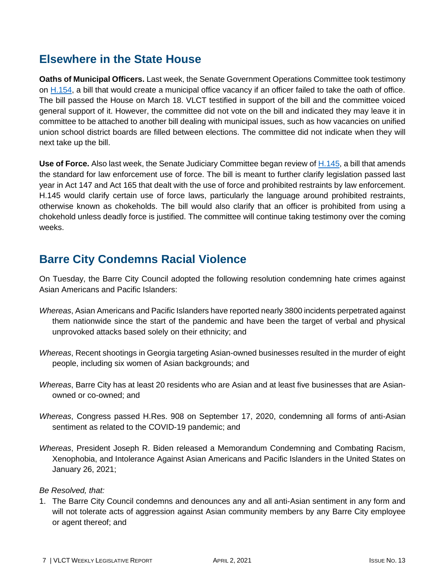#### <span id="page-6-0"></span>**Elsewhere in the State House**

**Oaths of Municipal Officers.** Last week, the Senate Government Operations Committee took testimony on [H.154,](https://legislature.vermont.gov/bill/status/2022/H.154) a bill that would create a municipal office vacancy if an officer failed to take the oath of office. The bill passed the House on March 18. VLCT testified in support of the bill and the committee voiced general support of it. However, the committee did not vote on the bill and indicated they may leave it in committee to be attached to another bill dealing with municipal issues, such as how vacancies on unified union school district boards are filled between elections. The committee did not indicate when they will next take up the bill.

**Use of Force.** Also last week, the Senate Judiciary Committee began review of [H.145,](https://legislature.vermont.gov/Documents/2022/Docs/BILLS/H-0145/H-0145%20As%20Passed%20by%20the%20House%20Unofficial.pdf) a bill that amends the standard for law enforcement use of force. The bill is meant to further clarify legislation passed last year in Act 147 and Act 165 that dealt with the use of force and prohibited restraints by law enforcement. H.145 would clarify certain use of force laws, particularly the language around prohibited restraints, otherwise known as chokeholds. The bill would also clarify that an officer is prohibited from using a chokehold unless deadly force is justified. The committee will continue taking testimony over the coming weeks.

## <span id="page-6-1"></span>**Barre City Condemns Racial Violence**

On Tuesday, the Barre City Council adopted the following resolution condemning hate crimes against Asian Americans and Pacific Islanders:

- *Whereas*, Asian Americans and Pacific Islanders have reported nearly 3800 incidents perpetrated against them nationwide since the start of the pandemic and have been the target of verbal and physical unprovoked attacks based solely on their ethnicity; and
- *Whereas*, Recent shootings in Georgia targeting Asian-owned businesses resulted in the murder of eight people, including six women of Asian backgrounds; and
- *Whereas*, Barre City has at least 20 residents who are Asian and at least five businesses that are Asianowned or co-owned; and
- *Whereas*, Congress passed H.Res. 908 on September 17, 2020, condemning all forms of anti-Asian sentiment as related to the COVID-19 pandemic; and
- *Whereas*, President Joseph R. Biden released a Memorandum Condemning and Combating Racism, Xenophobia, and Intolerance Against Asian Americans and Pacific Islanders in the United States on January 26, 2021;

#### *Be Resolved, that:*

1. The Barre City Council condemns and denounces any and all anti-Asian sentiment in any form and will not tolerate acts of aggression against Asian community members by any Barre City employee or agent thereof; and